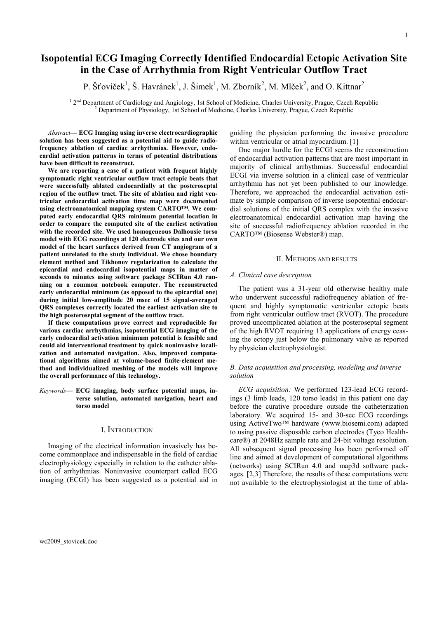# Isopotential ECG Imaging Correctly Identified Endocardial Ectopic Activation Site in the Case of Arrhythmia from Right Ventricular Outflow Tract

P. Šťovíček<sup>1</sup>, Š. Havránek<sup>1</sup>, J. Šimek<sup>1</sup>, M. Zborník<sup>2</sup>, M. Mlček<sup>2</sup>, and O. Kittnar<sup>2</sup>

<sup>1</sup> 2<sup>nd</sup> Department of Cardiology and Angiology, 1st School of Medicine, Charles University, Prague, Czech Republic <sup>2</sup> Department of Physiology, 1st School of Medicine, Charles University, Prague, Czech Republic

Abstract— ECG Imaging using inverse electrocardiographic solution has been suggested as a potential aid to guide radiofrequency ablation of cardiac arrhythmias. However, endocardial activation patterns in terms of potential distributions have been difficult to reconstruct.

We are reporting a case of a patient with frequent highly symptomatic right ventricular outflow tract ectopic beats that were successfully ablated endocardially at the posteroseptal region of the outflow tract. The site of ablation and right ventricular endocardial activation time map were documented using electroanatomical mapping system CARTO™. We computed early endocardial QRS minimum potential location in order to compare the computed site of the earliest activation with the recorded site. We used homogeneous Dalhousie torso model with ECG recordings at 120 electrode sites and our own model of the heart surfaces derived from CT angiogram of a patient unrelated to the study individual. We chose boundary element method and Tikhonov regularization to calculate the epicardial and endocardial isopotential maps in matter of seconds to minutes using software package SCIRun 4.0 running on a common notebook computer. The reconstructed early endocardial minimum (as opposed to the epicardial one) during initial low-amplitude 20 msec of 15 signal-averaged QRS complexes correctly located the earliest activation site to the high posteroseptal segment of the outflow tract.

If these computations prove correct and reproducible for various cardiac arrhythmias, isopotential ECG imaging of the early endocardial activation minimum potential is feasible and could aid interventional treatment by quick noninvasive localization and automated navigation. Also, improved computational algorithms aimed at volume-based finite-element method and individualized meshing of the models will improve the overall performance of this technology.

Keywords— ECG imaging, body surface potential maps, inverse solution, automated navigation, heart and torso model

# I. INTRODUCTION

Imaging of the electrical information invasively has become commonplace and indispensable in the field of cardiac electrophysiology especially in relation to the catheter ablation of arrhythmias. Noninvasive counterpart called ECG imaging (ECGI) has been suggested as a potential aid in guiding the physician performing the invasive procedure within ventricular or atrial myocardium. [1]

One major hurdle for the ECGI seems the reconstruction of endocardial activation patterns that are most important in majority of clinical arrhythmias. Successful endocardial ECGI via inverse solution in a clinical case of ventricular arrhythmia has not yet been published to our knowledge. Therefore, we approached the endocardial activation estimate by simple comparison of inverse isopotential endocardial solutions of the initial QRS complex with the invasive electroanatomical endocardial activation map having the site of successful radiofrequency ablation recorded in the CARTO™ (Biosense Webster®) map.

# II. METHODS AND RESULTS

# A. Clinical case description

The patient was a 31-year old otherwise healthy male who underwent successful radiofrequency ablation of frequent and highly symptomatic ventricular ectopic beats from right ventricular outflow tract (RVOT). The procedure proved uncomplicated ablation at the posteroseptal segment of the high RVOT requiring 13 applications of energy ceasing the ectopy just below the pulmonary valve as reported by physician electrophysiologist.

# B. Data acquisition and processing, modeling and inverse solution

ECG acquisition: We performed 123-lead ECG recordings (3 limb leads, 120 torso leads) in this patient one day before the curative procedure outside the catheterization laboratory. We acquired 15- and 30-sec ECG recordings using ActiveTwo™ hardware (www.biosemi.com) adapted to using passive disposable carbon electrodes (Tyco Healthcare®) at 2048Hz sample rate and 24-bit voltage resolution. All subsequent signal processing has been performed off line and aimed at development of computational algorithms (networks) using SCIRun 4.0 and map3d software packages. [2,3] Therefore, the results of these computations were not available to the electrophysiologist at the time of abla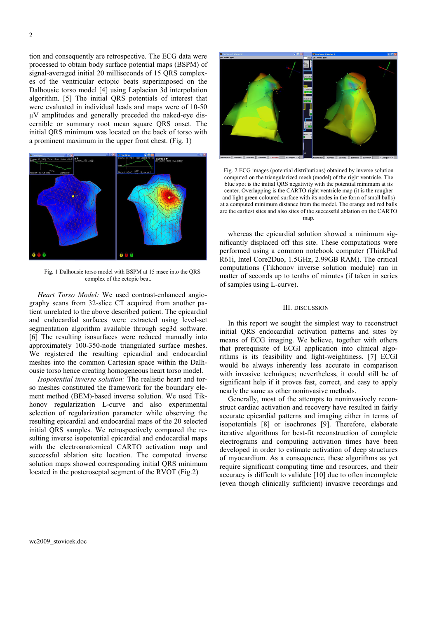tion and consequently are retrospective. The ECG data were processed to obtain body surface potential maps (BSPM) of signal-averaged initial 20 milliseconds of 15 QRS complexes of the ventricular ectopic beats superimposed on the Dalhousie torso model [4] using Laplacian 3d interpolation algorithm. [5] The initial QRS potentials of interest that were evaluated in individual leads and maps were of 10-50 µV amplitudes and generally preceded the naked-eye discernible or summary root mean square QRS onset. The initial QRS minimum was located on the back of torso with a prominent maximum in the upper front chest. (Fig. 1)



Fig. 1 Dalhousie torso model with BSPM at 15 msec into the QRS complex of the ectopic beat.

Heart Torso Model: We used contrast-enhanced angiography scans from 32-slice CT acquired from another patient unrelated to the above described patient. The epicardial and endocardial surfaces were extracted using level-set segmentation algorithm available through seg3d software. [6] The resulting isosurfaces were reduced manually into approximately 100-350-node triangulated surface meshes. We registered the resulting epicardial and endocardial meshes into the common Cartesian space within the Dalhousie torso hence creating homogeneous heart torso model.

Isopotential inverse solution: The realistic heart and torso meshes constituted the framework for the boundary element method (BEM)-based inverse solution. We used Tikhonov regularization L-curve and also experimental selection of regularization parameter while observing the resulting epicardial and endocardial maps of the 20 selected initial QRS samples. We retrospectively compared the resulting inverse isopotential epicardial and endocardial maps with the electroanatomical CARTO activation map and successful ablation site location. The computed inverse solution maps showed corresponding initial QRS minimum located in the posteroseptal segment of the RVOT (Fig.2)



Fig. 2 ECG images (potential distributions) obtained by inverse solution computed on the triangularized mesh (model) of the right ventricle. The blue spot is the initial QRS negativity with the potential minimum at its center. Overlapping is the CARTO right ventricle map (it is the rougher and light green coloured surface with its nodes in the form of small balls) at a computed minimum distance from the model. The orange and red balls are the earliest sites and also sites of the successful ablation on the CARTO man

whereas the epicardial solution showed a minimum significantly displaced off this site. These computations were performed using a common notebook computer (ThinkPad R61i, Intel Core2Duo, 1.5GHz, 2.99GB RAM). The critical computations (Tikhonov inverse solution module) ran in matter of seconds up to tenths of minutes (if taken in series of samples using L-curve).

# III. DISCUSSION

In this report we sought the simplest way to reconstruct initial QRS endocardial activation patterns and sites by means of ECG imaging. We believe, together with others that prerequisite of ECGI application into clinical algorithms is its feasibility and light-weightiness. [7] ECGI would be always inherently less accurate in comparison with invasive techniques; nevertheless, it could still be of significant help if it proves fast, correct, and easy to apply nearly the same as other noninvasive methods.

Generally, most of the attempts to noninvasively reconstruct cardiac activation and recovery have resulted in fairly accurate epicardial patterns and imaging either in terms of isopotentials [8] or isochrones [9]. Therefore, elaborate iterative algorithms for best-fit reconstruction of complete electrograms and computing activation times have been developed in order to estimate activation of deep structures of myocardium. As a consequence, these algorithms as yet require significant computing time and resources, and their accuracy is difficult to validate [10] due to often incomplete (even though clinically sufficient) invasive recordings and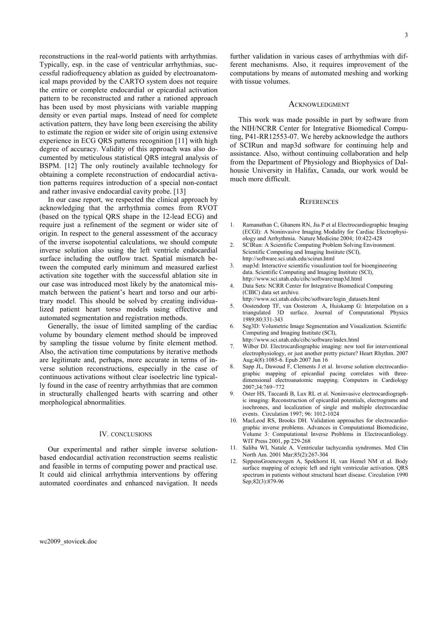reconstructions in the real-world patients with arrhythmias. Typically, esp. in the case of ventricular arrhythmias, successful radiofrequency ablation as guided by electroanatomical maps provided by the CARTO system does not require the entire or complete endocardial or epicardial activation pattern to be reconstructed and rather a rationed approach has been used by most physicians with variable mapping density or even partial maps. Instead of need for complete activation pattern, they have long been exercising the ability to estimate the region or wider site of origin using extensive experience in ECG QRS patterns recognition [11] with high degree of accuracy. Validity of this approach was also documented by meticulous statistical QRS integral analysis of BSPM. [12] The only routinely available technology for obtaining a complete reconstruction of endocardial activation patterns requires introduction of a special non-contact and rather invasive endocardial cavity probe. [13]

In our case report, we respected the clinical approach by acknowledging that the arrhythmia comes from RVOT (based on the typical QRS shape in the 12-lead ECG) and require just a refinement of the segment or wider site of origin. In respect to the general assessment of the accuracy of the inverse isopotential calculations, we should compute inverse solution also using the left ventricle endocardial surface including the outflow tract. Spatial mismatch between the computed early minimum and measured earliest activation site together with the successful ablation site in our case was introduced most likely by the anatomical mismatch between the patient's heart and torso and our arbitrary model. This should be solved by creating individualized patient heart torso models using effective and automated segmentation and registration methods.

Generally, the issue of limited sampling of the cardiac volume by boundary element method should be improved by sampling the tissue volume by finite element method. Also, the activation time computations by iterative methods are legitimate and, perhaps, more accurate in terms of inverse solution reconstructions, especially in the case of continuous activations without clear isoelectric line typically found in the case of reentry arrhythmias that are common in structurally challenged hearts with scarring and other morphological abnormalities.

### IV. CONCLUSIONS

Our experimental and rather simple inverse solutionbased endocardial activation reconstruction seems realistic and feasible in terms of computing power and practical use. It could aid clinical arrhythmia interventions by offering automated coordinates and enhanced navigation. It needs 3

further validation in various cases of arrhythmias with different mechanisms. Also, it requires improvement of the computations by means of automated meshing and working with tissue volumes.

#### ACKNOWLEDGMENT

This work was made possible in part by software from the NIH/NCRR Center for Integrative Biomedical Computing, P41-RR12553-07. We hereby acknowledge the authors of SCIRun and map3d software for continuing help and assistance. Also, without continuing collaboration and help from the Department of Physiology and Biophysics of Dalhousie University in Halifax, Canada, our work would be much more difficult.

## **REFERENCES**

- 1. Ramanathan C, Ghanem RN, Jia P et al Electrocardiographic Imaging (ECGI): A Noninvasive Imaging Modality for Cardiac Electrophysiology and Arrhythmia. Nature Medicine 2004; 10:422-428
- 2. SCIRun: A Scientific Computing Problem Solving Environment. Scientific Computing and Imaging Institute (SCI), http://software.sci.utah.edu/scirun.html
- 3. map3d: Interactive scientific visualization tool for bioengineering data. Scientific Computing and Imaging Institute (SCI), http://www.sci.utah.edu/cibc/software/map3d.html
- 4. Data Sets: NCRR Center for Integrative Biomedical Computing (CIBC) data set archive.
- http://www.sci.utah.edu/cibc/software/login\_datasets.html 5. Oostendorp TF, van Oosterom A, Huiskamp G: Interpolation on a triangulated 3D surface. Journal of Computational Physics
- 1989;80:331-343 6. Seg3D: Volumetric Image Segmentation and Visualization. Scientific Computing and Imaging Institute (SCI),
- http://www.sci.utah.edu/cibc/software/index.html
- 7. Wilber DJ. Electrocardiographic imaging: new tool for interventional electrophysiology, or just another pretty picture? Heart Rhythm. 2007 Aug;4(8):1085-6. Epub 2007 Jun 16
- 8. Sapp JL, Dawoud F, Clements J et al. Inverse solution electrocardiographic mapping of epicardial pacing correlates with threedimensional electroanatomic mapping. Computers in Cardiology 2007;34:769−772
- 9. Oster HS, Taccardi B, Lux RL et al. Noninvasive electrocardiographic imaging: Reconstruction of epicardial potentials, electrograms and isochrones, and localization of single and multiple electrocardiac events. Circulation 1997; 96: 1012-1024
- 10. MacLeod RS, Brooks DH. Validation approaches for electrocardiographic inverse problems. Advances in Computational Biomedicine, Volume 3: Computational Inverse Problems in Electrocardiology. WIT Press 2001, pp 229-268
- 11. Saliba WI, Natale A. Ventricular tachycardia syndromes. Med Clin North Am. 2001 Mar;85(2):267-304
- 12. SippensGroenewegen A, Spekhorst H, van Hemel NM et al. Body surface mapping of ectopic left and right ventricular activation. QRS spectrum in patients without structural heart disease. Circulation 1990 Sep;82(3):879-96